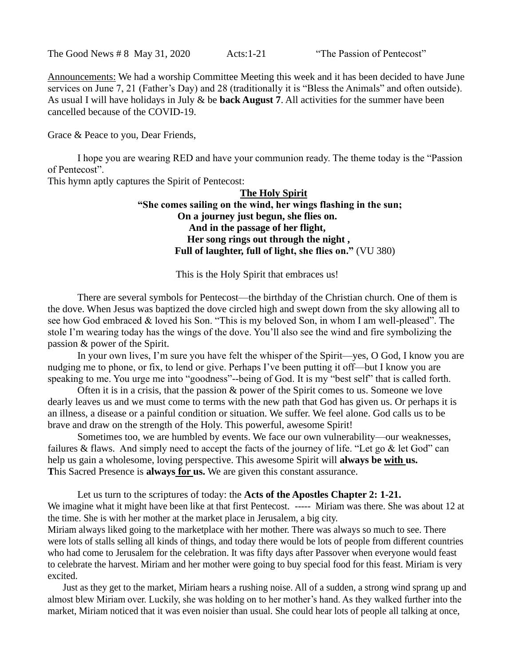The Good News # 8 May 31, 2020 Acts:1-21 "The Passion of Pentecost"

Announcements: We had a worship Committee Meeting this week and it has been decided to have June services on June 7, 21 (Father's Day) and 28 (traditionally it is "Bless the Animals" and often outside). As usual I will have holidays in July & be **back August 7**. All activities for the summer have been cancelled because of the COVID-19.

Grace & Peace to you, Dear Friends,

I hope you are wearing RED and have your communion ready. The theme today is the "Passion of Pentecost".

This hymn aptly captures the Spirit of Pentecost:

## **The Holy Spirit "She comes sailing on the wind, her wings flashing in the sun; On a journey just begun, she flies on. And in the passage of her flight, Her song rings out through the night , Full of laughter, full of light, she flies on."** (VU 380)

This is the Holy Spirit that embraces us!

There are several symbols for Pentecost—the birthday of the Christian church. One of them is the dove. When Jesus was baptized the dove circled high and swept down from the sky allowing all to see how God embraced & loved his Son. "This is my beloved Son, in whom I am well-pleased". The stole I'm wearing today has the wings of the dove. You'll also see the wind and fire symbolizing the passion & power of the Spirit.

In your own lives, I'm sure you have felt the whisper of the Spirit—yes, O God, I know you are nudging me to phone, or fix, to lend or give. Perhaps I've been putting it off—but I know you are speaking to me. You urge me into "goodness"--being of God. It is my "best self" that is called forth.

Often it is in a crisis, that the passion & power of the Spirit comes to us. Someone we love dearly leaves us and we must come to terms with the new path that God has given us. Or perhaps it is an illness, a disease or a painful condition or situation. We suffer. We feel alone. God calls us to be brave and draw on the strength of the Holy. This powerful, awesome Spirit!

Sometimes too, we are humbled by events. We face our own vulnerability—our weaknesses, failures & flaws. And simply need to accept the facts of the journey of life. "Let go  $\&$  let God" can help us gain a wholesome, loving perspective. This awesome Spirit will **always be with us. T**his Sacred Presence is **always for us.** We are given this constant assurance.

Let us turn to the scriptures of today: the **Acts of the Apostles Chapter 2: 1-21.** We imagine what it might have been like at that first Pentecost. ----- Miriam was there. She was about 12 at the time. She is with her mother at the market place in Jerusalem, a big city.

Miriam always liked going to the marketplace with her mother. There was always so much to see. There were lots of stalls selling all kinds of things, and today there would be lots of people from different countries who had come to Jerusalem for the celebration. It was fifty days after Passover when everyone would feast to celebrate the harvest. Miriam and her mother were going to buy special food for this feast. Miriam is very excited.

Just as they get to the market, Miriam hears a rushing noise. All of a sudden, a strong wind sprang up and almost blew Miriam over. Luckily, she was holding on to her mother's hand. As they walked further into the market, Miriam noticed that it was even noisier than usual. She could hear lots of people all talking at once,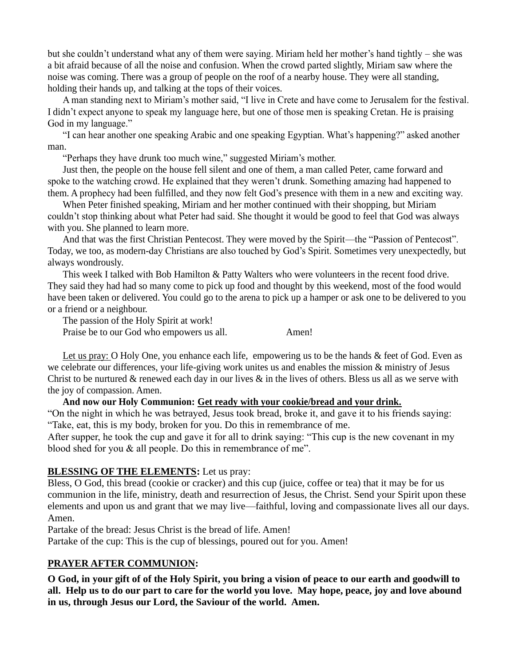but she couldn't understand what any of them were saying. Miriam held her mother's hand tightly – she was a bit afraid because of all the noise and confusion. When the crowd parted slightly, Miriam saw where the noise was coming. There was a group of people on the roof of a nearby house. They were all standing, holding their hands up, and talking at the tops of their voices.

A man standing next to Miriam's mother said, "I live in Crete and have come to Jerusalem for the festival. I didn't expect anyone to speak my language here, but one of those men is speaking Cretan. He is praising God in my language."

"I can hear another one speaking Arabic and one speaking Egyptian. What's happening?" asked another man.

"Perhaps they have drunk too much wine," suggested Miriam's mother.

Just then, the people on the house fell silent and one of them, a man called Peter, came forward and spoke to the watching crowd. He explained that they weren't drunk. Something amazing had happened to them. A prophecy had been fulfilled, and they now felt God's presence with them in a new and exciting way.

When Peter finished speaking, Miriam and her mother continued with their shopping, but Miriam couldn't stop thinking about what Peter had said. She thought it would be good to feel that God was always with you. She planned to learn more.

And that was the first Christian Pentecost. They were moved by the Spirit—the "Passion of Pentecost". Today, we too, as modern-day Christians are also touched by God's Spirit. Sometimes very unexpectedly, but always wondrously.

This week I talked with Bob Hamilton & Patty Walters who were volunteers in the recent food drive. They said they had had so many come to pick up food and thought by this weekend, most of the food would have been taken or delivered. You could go to the arena to pick up a hamper or ask one to be delivered to you or a friend or a neighbour.

The passion of the Holy Spirit at work! Praise be to our God who empowers us all. Amen!

Let us pray: O Holy One, you enhance each life, empowering us to be the hands & feet of God. Even as we celebrate our differences, your life-giving work unites us and enables the mission & ministry of Jesus Christ to be nurtured  $\&$  renewed each day in our lives  $\&$  in the lives of others. Bless us all as we serve with the joy of compassion. Amen.

# **And now our Holy Communion: Get ready with your cookie/bread and your drink.**

"On the night in which he was betrayed, Jesus took bread, broke it, and gave it to his friends saying: "Take, eat, this is my body, broken for you. Do this in remembrance of me.

After supper, he took the cup and gave it for all to drink saying: "This cup is the new covenant in my blood shed for you & all people. Do this in remembrance of me".

### **BLESSING OF THE ELEMENTS:** Let us pray:

Bless, O God, this bread (cookie or cracker) and this cup (juice, coffee or tea) that it may be for us communion in the life, ministry, death and resurrection of Jesus, the Christ. Send your Spirit upon these elements and upon us and grant that we may live—faithful, loving and compassionate lives all our days. Amen.

Partake of the bread: Jesus Christ is the bread of life. Amen!

Partake of the cup: This is the cup of blessings, poured out for you. Amen!

### **PRAYER AFTER COMMUNION:**

**O God, in your gift of of the Holy Spirit, you bring a vision of peace to our earth and goodwill to all. Help us to do our part to care for the world you love. May hope, peace, joy and love abound in us, through Jesus our Lord, the Saviour of the world. Amen.**